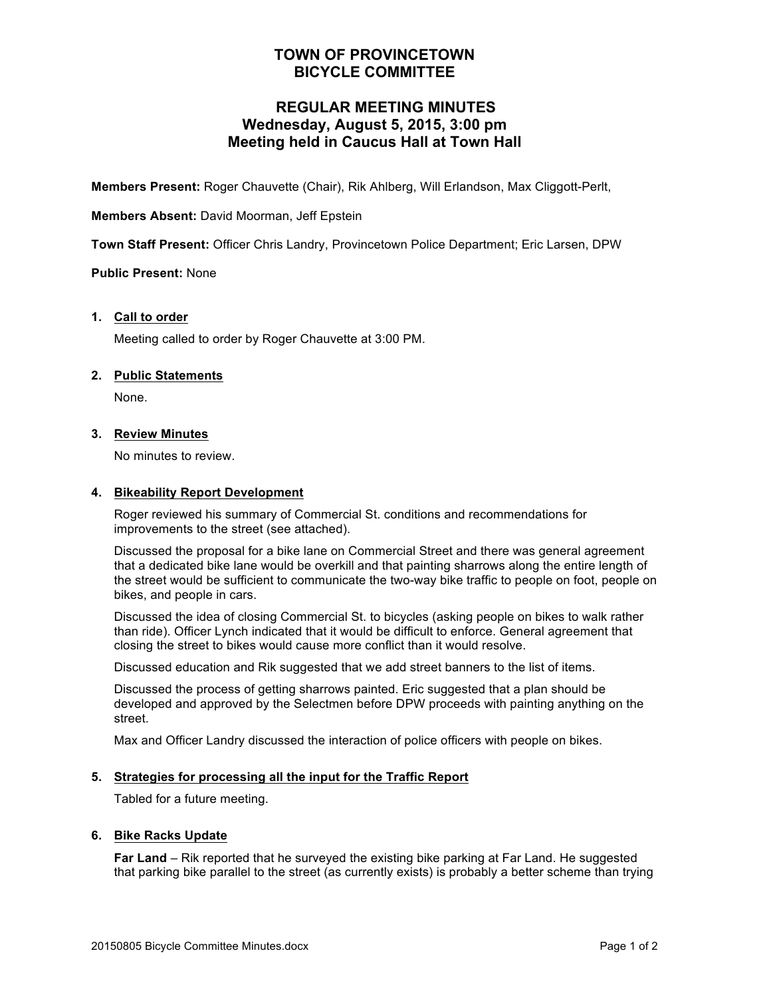# **TOWN OF PROVINCETOWN BICYCLE COMMITTEE**

# **REGULAR MEETING MINUTES Wednesday, August 5, 2015, 3:00 pm Meeting held in Caucus Hall at Town Hall**

**Members Present:** Roger Chauvette (Chair), Rik Ahlberg, Will Erlandson, Max Cliggott-Perlt,

**Members Absent:** David Moorman, Jeff Epstein

**Town Staff Present:** Officer Chris Landry, Provincetown Police Department; Eric Larsen, DPW

# **Public Present:** None

## **1. Call to order**

Meeting called to order by Roger Chauvette at 3:00 PM.

## **2. Public Statements**

None.

## **3. Review Minutes**

No minutes to review.

#### **4. Bikeability Report Development**

Roger reviewed his summary of Commercial St. conditions and recommendations for improvements to the street (see attached).

Discussed the proposal for a bike lane on Commercial Street and there was general agreement that a dedicated bike lane would be overkill and that painting sharrows along the entire length of the street would be sufficient to communicate the two-way bike traffic to people on foot, people on bikes, and people in cars.

Discussed the idea of closing Commercial St. to bicycles (asking people on bikes to walk rather than ride). Officer Lynch indicated that it would be difficult to enforce. General agreement that closing the street to bikes would cause more conflict than it would resolve.

Discussed education and Rik suggested that we add street banners to the list of items.

Discussed the process of getting sharrows painted. Eric suggested that a plan should be developed and approved by the Selectmen before DPW proceeds with painting anything on the street.

Max and Officer Landry discussed the interaction of police officers with people on bikes.

## **5. Strategies for processing all the input for the Traffic Report**

Tabled for a future meeting.

## **6. Bike Racks Update**

**Far Land** – Rik reported that he surveyed the existing bike parking at Far Land. He suggested that parking bike parallel to the street (as currently exists) is probably a better scheme than trying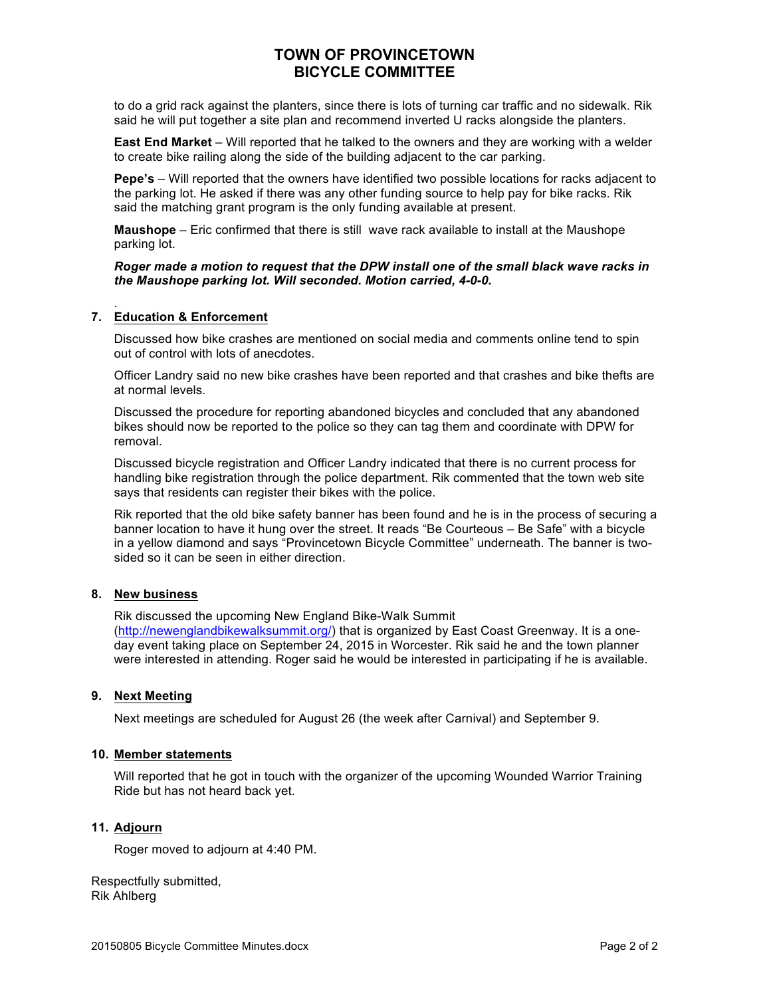# **TOWN OF PROVINCETOWN BICYCLE COMMITTEE**

to do a grid rack against the planters, since there is lots of turning car traffic and no sidewalk. Rik said he will put together a site plan and recommend inverted U racks alongside the planters.

**East End Market** – Will reported that he talked to the owners and they are working with a welder to create bike railing along the side of the building adjacent to the car parking.

**Pepe's** – Will reported that the owners have identified two possible locations for racks adjacent to the parking lot. He asked if there was any other funding source to help pay for bike racks. Rik said the matching grant program is the only funding available at present.

**Maushope** – Eric confirmed that there is still wave rack available to install at the Maushope parking lot.

#### *Roger made a motion to request that the DPW install one of the small black wave racks in the Maushope parking lot. Will seconded. Motion carried, 4-0-0.*

#### . **7. Education & Enforcement**

Discussed how bike crashes are mentioned on social media and comments online tend to spin out of control with lots of anecdotes.

Officer Landry said no new bike crashes have been reported and that crashes and bike thefts are at normal levels.

Discussed the procedure for reporting abandoned bicycles and concluded that any abandoned bikes should now be reported to the police so they can tag them and coordinate with DPW for removal.

Discussed bicycle registration and Officer Landry indicated that there is no current process for handling bike registration through the police department. Rik commented that the town web site says that residents can register their bikes with the police.

Rik reported that the old bike safety banner has been found and he is in the process of securing a banner location to have it hung over the street. It reads "Be Courteous – Be Safe" with a bicycle in a yellow diamond and says "Provincetown Bicycle Committee" underneath. The banner is twosided so it can be seen in either direction.

## **8. New business**

Rik discussed the upcoming New England Bike-Walk Summit (http://newenglandbikewalksummit.org/) that is organized by East Coast Greenway. It is a oneday event taking place on September 24, 2015 in Worcester. Rik said he and the town planner were interested in attending. Roger said he would be interested in participating if he is available.

#### **9. Next Meeting**

Next meetings are scheduled for August 26 (the week after Carnival) and September 9.

#### **10. Member statements**

Will reported that he got in touch with the organizer of the upcoming Wounded Warrior Training Ride but has not heard back yet.

## **11. Adjourn**

Roger moved to adjourn at 4:40 PM.

Respectfully submitted, Rik Ahlberg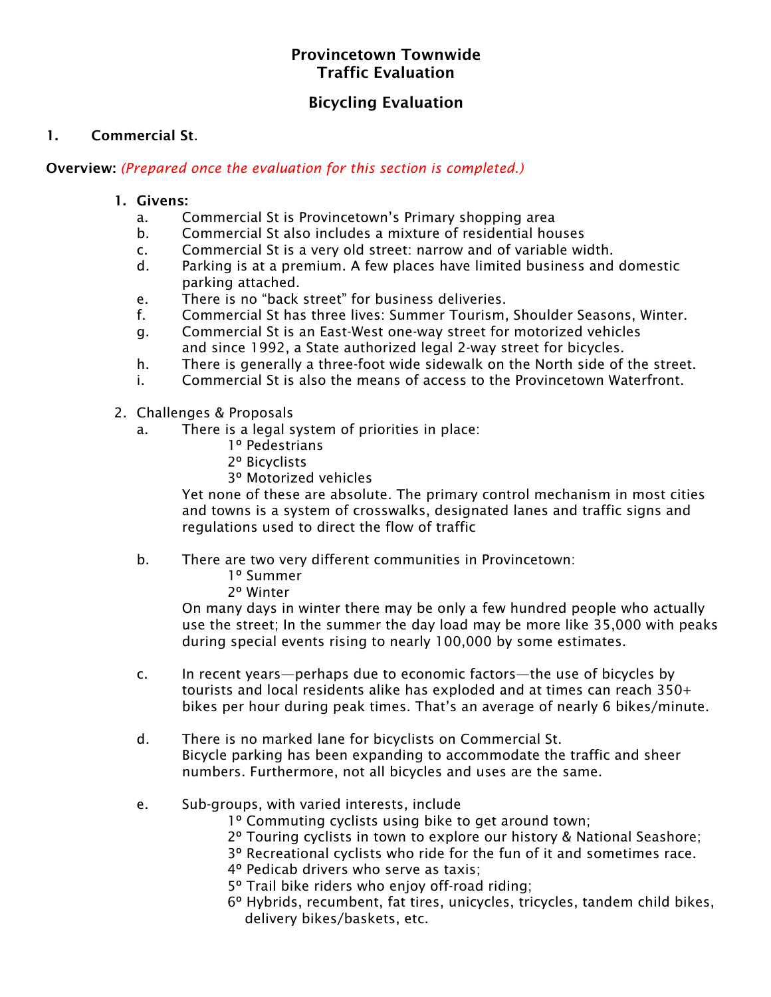# Provincetown Townwide Traffic Evaluation

# Bicycling Evaluation

# 1. Commercial St.

# Overview: *(Prepared once the evaluation for this section is completed.)*

- 1. Givens:
	- a. Commercial St is Provincetown's Primary shopping area
	- b. Commercial St also includes a mixture of residential houses
	- c. Commercial St is a very old street: narrow and of variable width.
	- d. Parking is at a premium. A few places have limited business and domestic parking attached.
	- e. There is no "back street" for business deliveries.
	- f. Commercial St has three lives: Summer Tourism, Shoulder Seasons, Winter.
	- g. Commercial St is an East-West one-way street for motorized vehicles and since 1992, a State authorized legal 2-way street for bicycles.
	- h. There is generally a three-foot wide sidewalk on the North side of the street.
	- i. Commercial St is also the means of access to the Provincetown Waterfront.
- 2. Challenges & Proposals
	- a. There is a legal system of priorities in place:
		- 1º Pedestrians
		- 2º Bicyclists
		- 3º Motorized vehicles

Yet none of these are absolute. The primary control mechanism in most cities and towns is a system of crosswalks, designated lanes and traffic signs and regulations used to direct the flow of traffic

- b. There are two very different communities in Provincetown:
	- 1º Summer
		- 2º Winter

On many days in winter there may be only a few hundred people who actually use the street; In the summer the day load may be more like 35,000 with peaks during special events rising to nearly 100,000 by some estimates.

- c. In recent years—perhaps due to economic factors—the use of bicycles by tourists and local residents alike has exploded and at times can reach 350+ bikes per hour during peak times. That's an average of nearly 6 bikes/minute.
- d. There is no marked lane for bicyclists on Commercial St. Bicycle parking has been expanding to accommodate the traffic and sheer numbers. Furthermore, not all bicycles and uses are the same.
- e. Sub-groups, with varied interests, include
	- 1º Commuting cyclists using bike to get around town;
	- 2º Touring cyclists in town to explore our history & National Seashore;
	- 3º Recreational cyclists who ride for the fun of it and sometimes race.
		- 4º Pedicab drivers who serve as taxis;
	- 5º Trail bike riders who enjoy off-road riding;
	- 6º Hybrids, recumbent, fat tires, unicycles, tricycles, tandem child bikes, delivery bikes/baskets, etc.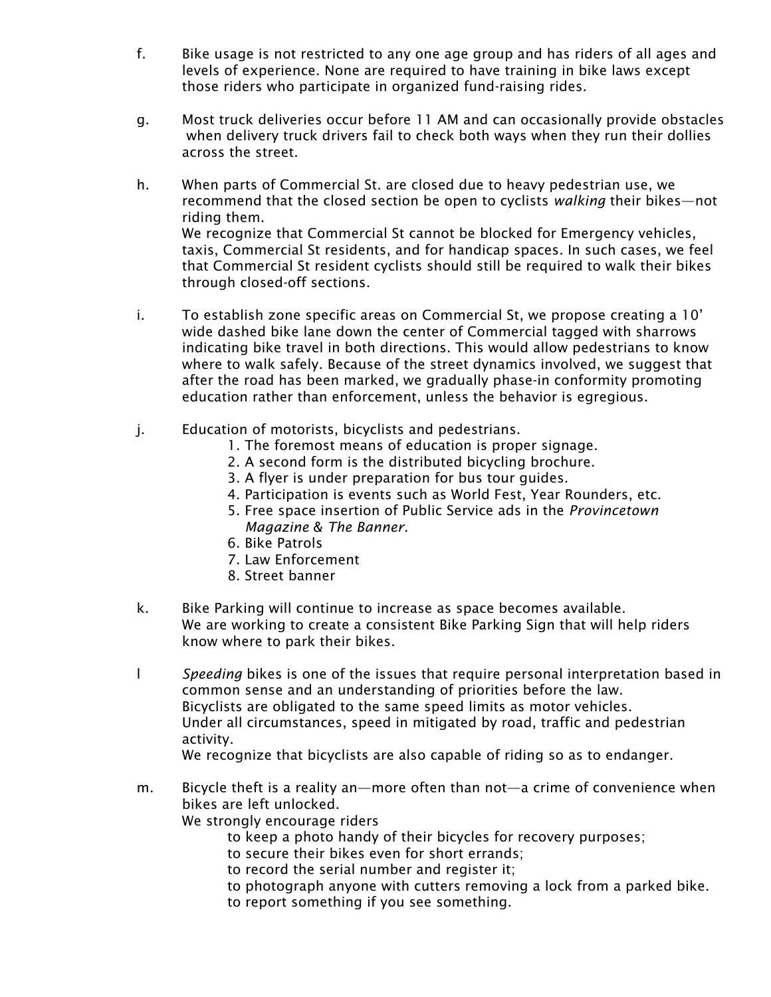- f. Bike usage is not restricted to any one age group and has riders of all ages and levels of experience. None are required to have training in bike laws except those riders who participate in organized fund-raising rides.
- g. Most truck deliveries occur before 11 AM and can occasionally provide obstacles when delivery truck drivers fail to check both ways when they run their dollies across the street.
- h. When parts of Commercial St. are closed due to heavy pedestrian use, we recommend that the closed section be open to cyclists *walking* their bikes—not riding them. We recognize that Commercial St cannot be blocked for Emergency vehicles, taxis, Commercial St residents, and for handicap spaces. In such cases, we feel that Commercial St resident cyclists should still be required to walk their bikes through closed-off sections.
- i. To establish zone specific areas on Commercial St, we propose creating a 10' wide dashed bike lane down the center of Commercial tagged with sharrows indicating bike travel in both directions. This would allow pedestrians to know where to walk safely. Because of the street dynamics involved, we suggest that after the road has been marked, we gradually phase-in conformity promoting education rather than enforcement, unless the behavior is egregious.
- j. Education of motorists, bicyclists and pedestrians.
	- 1. The foremost means of education is proper signage.
	- 2. A second form is the distributed bicycling brochure.
	- 3. A flyer is under preparation for bus tour guides.
	- 4. Participation is events such as World Fest, Year Rounders, etc.
	- 5. Free space insertion of Public Service ads in the *Provincetown Magazine* & *The Banner*.
	- 6. Bike Patrols
	- 7. Law Enforcement
	- 8. Street banner
- k. Bike Parking will continue to increase as space becomes available. We are working to create a consistent Bike Parking Sign that will help riders know where to park their bikes.
- l *Speeding* bikes is one of the issues that require personal interpretation based in common sense and an understanding of priorities before the law. Bicyclists are obligated to the same speed limits as motor vehicles. Under all circumstances, speed in mitigated by road, traffic and pedestrian activity. We recognize that bicyclists are also capable of riding so as to endanger.
- m. Bicycle theft is a reality an—more often than not—a crime of convenience when bikes are left unlocked.
	- We strongly encourage riders
		- to keep a photo handy of their bicycles for recovery purposes;
		- to secure their bikes even for short errands;
		- to record the serial number and register it;
		- to photograph anyone with cutters removing a lock from a parked bike.
		- to report something if you see something.